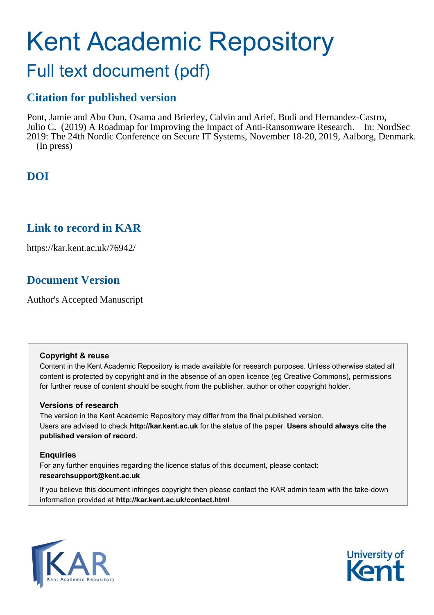# Kent Academic Repository

## Full text document (pdf)

## **Citation for published version**

Pont, Jamie and Abu Oun, Osama and Brierley, Calvin and Arief, Budi and Hernandez-Castro, Julio C. (2019) A Roadmap for Improving the Impact of Anti-Ransomware Research. In: NordSec 2019: The 24th Nordic Conference on Secure IT Systems, November 18-20, 2019, Aalborg, Denmark. (In press)

## **DOI**

## **Link to record in KAR**

https://kar.kent.ac.uk/76942/

## **Document Version**

Author's Accepted Manuscript

#### **Copyright & reuse**

Content in the Kent Academic Repository is made available for research purposes. Unless otherwise stated all content is protected by copyright and in the absence of an open licence (eg Creative Commons), permissions for further reuse of content should be sought from the publisher, author or other copyright holder.

#### **Versions of research**

The version in the Kent Academic Repository may differ from the final published version. Users are advised to check **http://kar.kent.ac.uk** for the status of the paper. **Users should always cite the published version of record.**

#### **Enquiries**

For any further enquiries regarding the licence status of this document, please contact: **researchsupport@kent.ac.uk**

If you believe this document infringes copyright then please contact the KAR admin team with the take-down information provided at **http://kar.kent.ac.uk/contact.html**



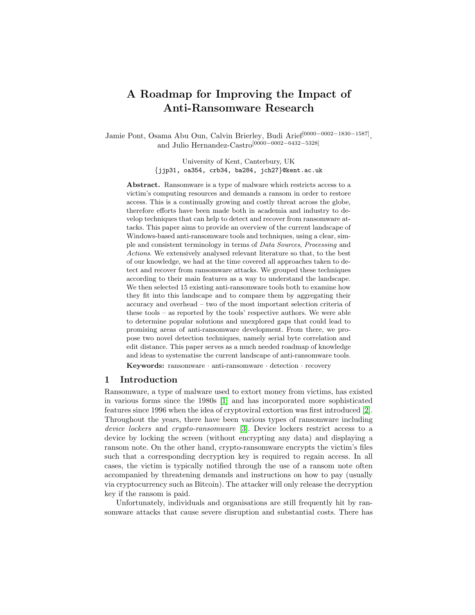### A Roadmap for Improving the Impact of Anti-Ransomware Research

Jamie Pont, Osama Abu Oun, Calvin Brierley, Budi Arief[0000−0002−1830−1587] , and Julio Hernandez-Castro $^{[0\tilde{0}00-0002-6432-5328]}$ 

> University of Kent, Canterbury, UK {jjp31, oa354, crb34, ba284, jch27}@kent.ac.uk

Abstract. Ransomware is a type of malware which restricts access to a victim's computing resources and demands a ransom in order to restore access. This is a continually growing and costly threat across the globe, therefore efforts have been made both in academia and industry to develop techniques that can help to detect and recover from ransomware attacks. This paper aims to provide an overview of the current landscape of Windows-based anti-ransomware tools and techniques, using a clear, simple and consistent terminology in terms of Data Sources, Processing and Actions. We extensively analysed relevant literature so that, to the best of our knowledge, we had at the time covered all approaches taken to detect and recover from ransomware attacks. We grouped these techniques according to their main features as a way to understand the landscape. We then selected 15 existing anti-ransomware tools both to examine how they fit into this landscape and to compare them by aggregating their accuracy and overhead – two of the most important selection criteria of these tools – as reported by the tools' respective authors. We were able to determine popular solutions and unexplored gaps that could lead to promising areas of anti-ransomware development. From there, we propose two novel detection techniques, namely serial byte correlation and edit distance. This paper serves as a much needed roadmap of knowledge and ideas to systematise the current landscape of anti-ransomware tools.

Keywords: ransomware · anti-ransomware · detection · recovery

#### 1 Introduction

Ransomware, a type of malware used to extort money from victims, has existed in various forms since the 1980s [1] and has incorporated more sophisticated features since 1996 when the idea of cryptoviral extortion was first introduced [2]. Throughout the years, there have been various types of ransomware including device lockers and crypto-ransomware [3]. Device lockers restrict access to a device by locking the screen (without encrypting any data) and displaying a ransom note. On the other hand, crypto-ransomware encrypts the victim's files such that a corresponding decryption key is required to regain access. In all cases, the victim is typically notified through the use of a ransom note often accompanied by threatening demands and instructions on how to pay (usually via cryptocurrency such as Bitcoin). The attacker will only release the decryption key if the ransom is paid.

Unfortunately, individuals and organisations are still frequently hit by ransomware attacks that cause severe disruption and substantial costs. There has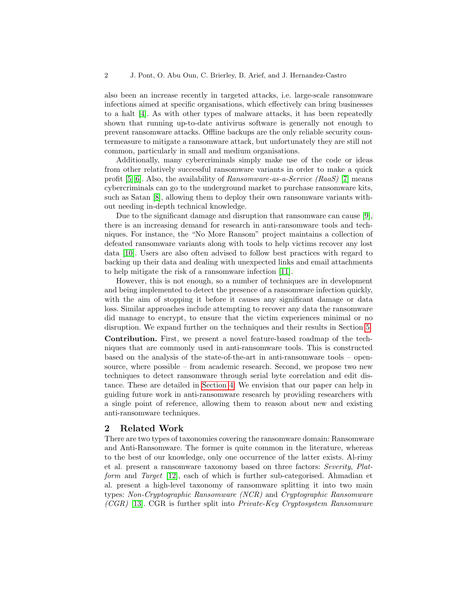also been an increase recently in targeted attacks, i.e. large-scale ransomware infections aimed at specific organisations, which effectively can bring businesses to a halt [4]. As with other types of malware attacks, it has been repeatedly shown that running up-to-date antivirus software is generally not enough to prevent ransomware attacks. Offline backups are the only reliable security countermeasure to mitigate a ransomware attack, but unfortunately they are still not common, particularly in small and medium organisations.

Additionally, many cybercriminals simply make use of the code or ideas from other relatively successful ransomware variants in order to make a quick profit [5][6]. Also, the availability of Ransomware-as-a-Service (RaaS) [7] means cybercriminals can go to the underground market to purchase ransomware kits, such as Satan [8], allowing them to deploy their own ransomware variants without needing in-depth technical knowledge.

Due to the significant damage and disruption that ransomware can cause [9], there is an increasing demand for research in anti-ransomware tools and techniques. For instance, the "No More Ransom" project maintains a collection of defeated ransomware variants along with tools to help victims recover any lost data [10]. Users are also often advised to follow best practices with regard to backing up their data and dealing with unexpected links and email attachments to help mitigate the risk of a ransomware infection [11].

However, this is not enough, so a number of techniques are in development and being implemented to detect the presence of a ransomware infection quickly, with the aim of stopping it before it causes any significant damage or data loss. Similar approaches include attempting to recover any data the ransomware did manage to encrypt, to ensure that the victim experiences minimal or no disruption. We expand further on the techniques and their results in Section 5.

Contribution. First, we present a novel feature-based roadmap of the techniques that are commonly used in anti-ransomware tools. This is constructed based on the analysis of the state-of-the-art in anti-ransomware tools – opensource, where possible – from academic research. Second, we propose two new techniques to detect ransomware through serial byte correlation and edit distance. These are detailed in Section 4. We envision that our paper can help in guiding future work in anti-ransomware research by providing researchers with a single point of reference, allowing them to reason about new and existing anti-ransomware techniques.

#### 2 Related Work

There are two types of taxonomies covering the ransomware domain: Ransomware and Anti-Ransomware. The former is quite common in the literature, whereas to the best of our knowledge, only one occurrence of the latter exists. Al-rimy et al. present a ransomware taxonomy based on three factors: Severity, Platform and Target [12], each of which is further sub-categorised. Ahmadian et al. present a high-level taxonomy of ransomware splitting it into two main types: Non-Cryptographic Ransomware (NCR) and Cryptographic Ransomware  $(CGR)$  [13]. CGR is further split into *Private-Key Cryptosystem Ransomware*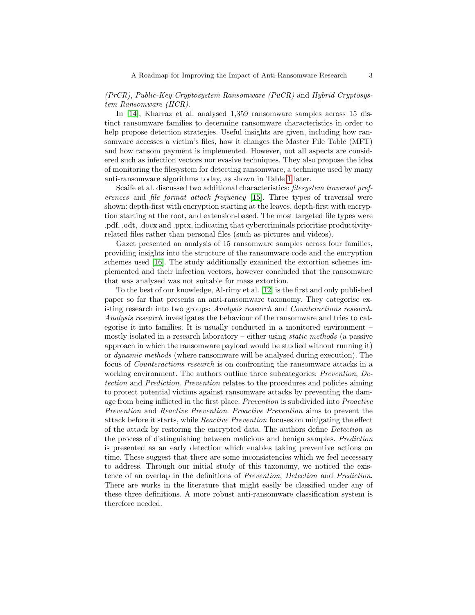#### $(PrCR)$ , Public-Key Cryptosystem Ransomware  $(PuCR)$  and Hybrid Cryptosystem Ransomware (HCR).

In [14], Kharraz et al. analysed 1,359 ransomware samples across 15 distinct ransomware families to determine ransomware characteristics in order to help propose detection strategies. Useful insights are given, including how ransomware accesses a victim's files, how it changes the Master File Table (MFT) and how ransom payment is implemented. However, not all aspects are considered such as infection vectors nor evasive techniques. They also propose the idea of monitoring the filesystem for detecting ransomware, a technique used by many anti-ransomware algorithms today, as shown in Table 1 later.

Scaife et al. discussed two additional characteristics: filesystem traversal preferences and file format attack frequency [15]. Three types of traversal were shown: depth-first with encryption starting at the leaves, depth-first with encryption starting at the root, and extension-based. The most targeted file types were .pdf, .odt, .docx and .pptx, indicating that cybercriminals prioritise productivityrelated files rather than personal files (such as pictures and videos).

Gazet presented an analysis of 15 ransomware samples across four families, providing insights into the structure of the ransomware code and the encryption schemes used [16]. The study additionally examined the extortion schemes implemented and their infection vectors, however concluded that the ransomware that was analysed was not suitable for mass extortion.

To the best of our knowledge, Al-rimy et al. [12] is the first and only published paper so far that presents an anti-ransomware taxonomy. They categorise existing research into two groups: Analysis research and Counteractions research. Analysis research investigates the behaviour of the ransomware and tries to categorise it into families. It is usually conducted in a monitored environment – mostly isolated in a research laboratory – either using static methods (a passive approach in which the ransomware payload would be studied without running it) or dynamic methods (where ransomware will be analysed during execution). The focus of Counteractions research is on confronting the ransomware attacks in a working environment. The authors outline three subcategories: Prevention, Detection and Prediction. Prevention relates to the procedures and policies aiming to protect potential victims against ransomware attacks by preventing the damage from being inflicted in the first place. Prevention is subdivided into Proactive Prevention and Reactive Prevention. Proactive Prevention aims to prevent the attack before it starts, while Reactive Prevention focuses on mitigating the effect of the attack by restoring the encrypted data. The authors define Detection as the process of distinguishing between malicious and benign samples. Prediction is presented as an early detection which enables taking preventive actions on time. These suggest that there are some inconsistencies which we feel necessary to address. Through our initial study of this taxonomy, we noticed the existence of an overlap in the definitions of Prevention, Detection and Prediction. There are works in the literature that might easily be classified under any of these three definitions. A more robust anti-ransomware classification system is therefore needed.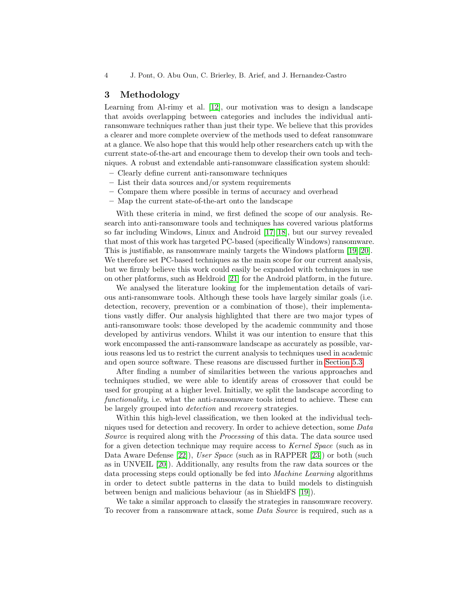#### 3 Methodology

Learning from Al-rimy et al. [12], our motivation was to design a landscape that avoids overlapping between categories and includes the individual antiransomware techniques rather than just their type. We believe that this provides a clearer and more complete overview of the methods used to defeat ransomware at a glance. We also hope that this would help other researchers catch up with the current state-of-the-art and encourage them to develop their own tools and techniques. A robust and extendable anti-ransomware classification system should:

- Clearly define current anti-ransomware techniques
- List their data sources and/or system requirements
- Compare them where possible in terms of accuracy and overhead
- Map the current state-of-the-art onto the landscape

With these criteria in mind, we first defined the scope of our analysis. Research into anti-ransomware tools and techniques has covered various platforms so far including Windows, Linux and Android [17][18], but our survey revealed that most of this work has targeted PC-based (specifically Windows) ransomware. This is justifiable, as ransomware mainly targets the Windows platform [19][20]. We therefore set PC-based techniques as the main scope for our current analysis, but we firmly believe this work could easily be expanded with techniques in use on other platforms, such as Heldroid [21] for the Android platform, in the future.

We analysed the literature looking for the implementation details of various anti-ransomware tools. Although these tools have largely similar goals (i.e. detection, recovery, prevention or a combination of those), their implementations vastly differ. Our analysis highlighted that there are two major types of anti-ransomware tools: those developed by the academic community and those developed by antivirus vendors. Whilst it was our intention to ensure that this work encompassed the anti-ransomware landscape as accurately as possible, various reasons led us to restrict the current analysis to techniques used in academic and open source software. These reasons are discussed further in Section 5.3.

After finding a number of similarities between the various approaches and techniques studied, we were able to identify areas of crossover that could be used for grouping at a higher level. Initially, we split the landscape according to functionality, i.e. what the anti-ransomware tools intend to achieve. These can be largely grouped into detection and recovery strategies.

Within this high-level classification, we then looked at the individual techniques used for detection and recovery. In order to achieve detection, some Data Source is required along with the Processing of this data. The data source used for a given detection technique may require access to Kernel Space (such as in Data Aware Defense [22]), User Space (such as in RAPPER [23]) or both (such as in UNVEIL [20]). Additionally, any results from the raw data sources or the data processing steps could optionally be fed into Machine Learning algorithms in order to detect subtle patterns in the data to build models to distinguish between benign and malicious behaviour (as in ShieldFS [19]).

We take a similar approach to classify the strategies in ransomware recovery. To recover from a ransomware attack, some Data Source is required, such as a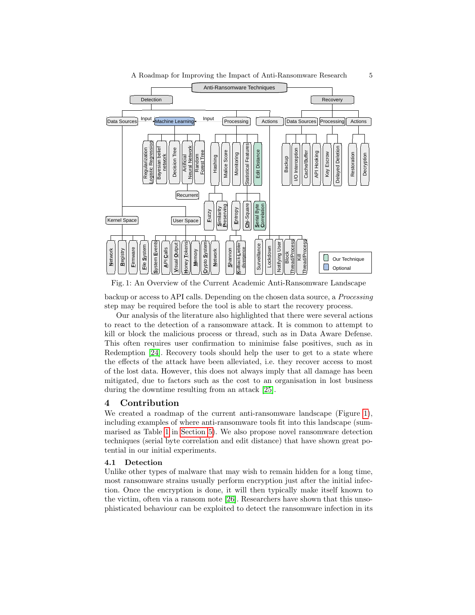

Fig. 1: An Overview of the Current Academic Anti-Ransomware Landscape

backup or access to API calls. Depending on the chosen data source, a Processing step may be required before the tool is able to start the recovery process.

Our analysis of the literature also highlighted that there were several actions to react to the detection of a ransomware attack. It is common to attempt to kill or block the malicious process or thread, such as in Data Aware Defense. This often requires user confirmation to minimise false positives, such as in Redemption [24]. Recovery tools should help the user to get to a state where the effects of the attack have been alleviated, i.e. they recover access to most of the lost data. However, this does not always imply that all damage has been mitigated, due to factors such as the cost to an organisation in lost business during the downtime resulting from an attack [25].

#### 4 Contribution

We created a roadmap of the current anti-ransomware landscape (Figure 1), including examples of where anti-ransomware tools fit into this landscape (summarised as Table 1 in Section 5). We also propose novel ransomware detection techniques (serial byte correlation and edit distance) that have shown great potential in our initial experiments.

#### 4.1 Detection

Unlike other types of malware that may wish to remain hidden for a long time, most ransomware strains usually perform encryption just after the initial infection. Once the encryption is done, it will then typically make itself known to the victim, often via a ransom note [26]. Researchers have shown that this unsophisticated behaviour can be exploited to detect the ransomware infection in its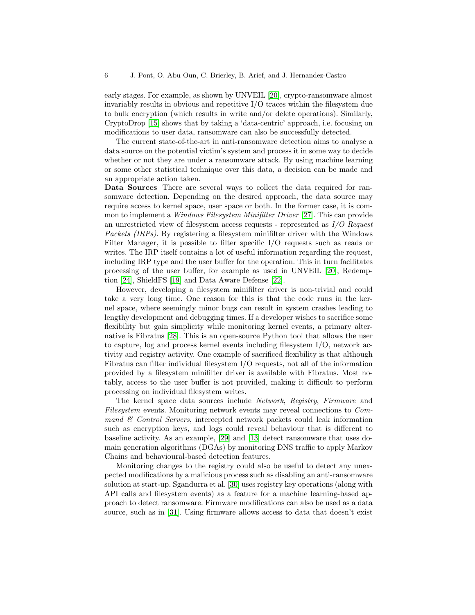early stages. For example, as shown by UNVEIL [20], crypto-ransomware almost invariably results in obvious and repetitive I/O traces within the filesystem due to bulk encryption (which results in write and/or delete operations). Similarly, CryptoDrop [15] shows that by taking a 'data-centric' approach, i.e. focusing on modifications to user data, ransomware can also be successfully detected.

The current state-of-the-art in anti-ransomware detection aims to analyse a data source on the potential victim's system and process it in some way to decide whether or not they are under a ransomware attack. By using machine learning or some other statistical technique over this data, a decision can be made and an appropriate action taken.

Data Sources There are several ways to collect the data required for ransomware detection. Depending on the desired approach, the data source may require access to kernel space, user space or both. In the former case, it is common to implement a Windows Filesystem Minifilter Driver [27]. This can provide an unrestricted view of filesystem access requests - represented as I/O Request Packets (IRPs). By registering a filesystem minifilter driver with the Windows Filter Manager, it is possible to filter specific I/O requests such as reads or writes. The IRP itself contains a lot of useful information regarding the request, including IRP type and the user buffer for the operation. This in turn facilitates processing of the user buffer, for example as used in UNVEIL [20], Redemption [24], ShieldFS [19] and Data Aware Defense [22].

However, developing a filesystem minifilter driver is non-trivial and could take a very long time. One reason for this is that the code runs in the kernel space, where seemingly minor bugs can result in system crashes leading to lengthy development and debugging times. If a developer wishes to sacrifice some flexibility but gain simplicity while monitoring kernel events, a primary alternative is Fibratus [28]. This is an open-source Python tool that allows the user to capture, log and process kernel events including filesystem I/O, network activity and registry activity. One example of sacrificed flexibility is that although Fibratus can filter individual filesystem I/O requests, not all of the information provided by a filesystem minifilter driver is available with Fibratus. Most notably, access to the user buffer is not provided, making it difficult to perform processing on individual filesystem writes.

The kernel space data sources include Network, Registry, Firmware and Filesystem events. Monitoring network events may reveal connections to Com $mand \& Control$  Servers, intercepted network packets could leak information such as encryption keys, and logs could reveal behaviour that is different to baseline activity. As an example, [29] and [13] detect ransomware that uses domain generation algorithms (DGAs) by monitoring DNS traffic to apply Markov Chains and behavioural-based detection features.

Monitoring changes to the registry could also be useful to detect any unexpected modifications by a malicious process such as disabling an anti-ransomware solution at start-up. Sgandurra et al. [30] uses registry key operations (along with API calls and filesystem events) as a feature for a machine learning-based approach to detect ransomware. Firmware modifications can also be used as a data source, such as in [31]. Using firmware allows access to data that doesn't exist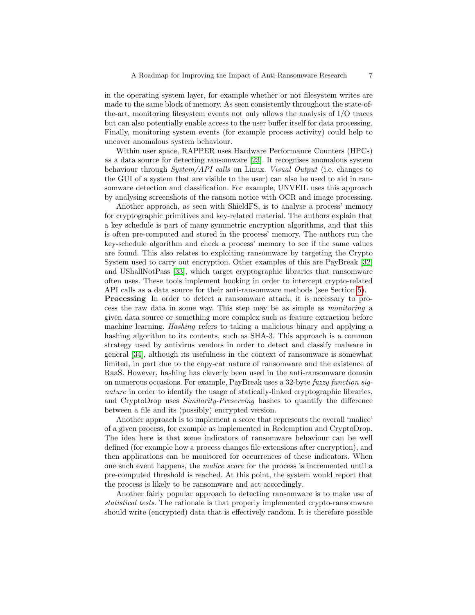in the operating system layer, for example whether or not filesystem writes are made to the same block of memory. As seen consistently throughout the state-ofthe-art, monitoring filesystem events not only allows the analysis of I/O traces but can also potentially enable access to the user buffer itself for data processing. Finally, monitoring system events (for example process activity) could help to uncover anomalous system behaviour.

Within user space, RAPPER uses Hardware Performance Counters (HPCs) as a data source for detecting ransomware [23]. It recognises anomalous system behaviour through System/API calls on Linux. Visual Output (i.e. changes to the GUI of a system that are visible to the user) can also be used to aid in ransomware detection and classification. For example, UNVEIL uses this approach by analysing screenshots of the ransom notice with OCR and image processing.

Another approach, as seen with ShieldFS, is to analyse a process' memory for cryptographic primitives and key-related material. The authors explain that a key schedule is part of many symmetric encryption algorithms, and that this is often pre-computed and stored in the process' memory. The authors run the key-schedule algorithm and check a process' memory to see if the same values are found. This also relates to exploiting ransomware by targeting the Crypto System used to carry out encryption. Other examples of this are PayBreak [32] and UShallNotPass [33], which target cryptographic libraries that ransomware often uses. These tools implement hooking in order to intercept crypto-related API calls as a data source for their anti-ransomware methods (see Section 5).

Processing In order to detect a ransomware attack, it is necessary to process the raw data in some way. This step may be as simple as monitoring a given data source or something more complex such as feature extraction before machine learning. Hashing refers to taking a malicious binary and applying a hashing algorithm to its contents, such as SHA-3. This approach is a common strategy used by antivirus vendors in order to detect and classify malware in general [34], although its usefulness in the context of ransomware is somewhat limited, in part due to the copy-cat nature of ransomware and the existence of RaaS. However, hashing has cleverly been used in the anti-ransomware domain on numerous occasions. For example, PayBreak uses a 32-byte fuzzy function signature in order to identify the usage of statically-linked cryptographic libraries, and CryptoDrop uses Similarity-Preserving hashes to quantify the difference between a file and its (possibly) encrypted version.

Another approach is to implement a score that represents the overall 'malice' of a given process, for example as implemented in Redemption and CryptoDrop. The idea here is that some indicators of ransomware behaviour can be well defined (for example how a process changes file extensions after encryption), and then applications can be monitored for occurrences of these indicators. When one such event happens, the malice score for the process is incremented until a pre-computed threshold is reached. At this point, the system would report that the process is likely to be ransomware and act accordingly.

Another fairly popular approach to detecting ransomware is to make use of statistical tests. The rationale is that properly implemented crypto-ransomware should write (encrypted) data that is effectively random. It is therefore possible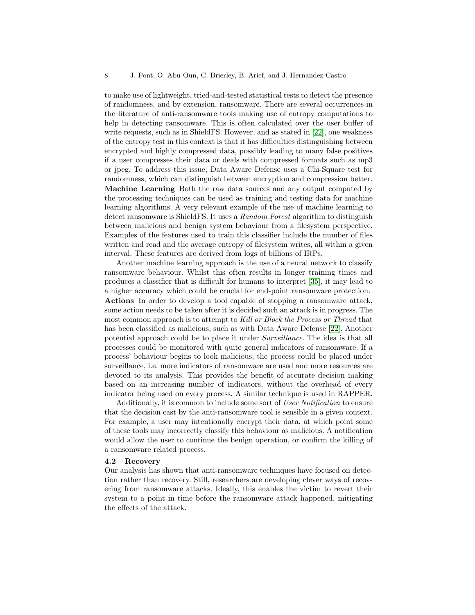to make use of lightweight, tried-and-tested statistical tests to detect the presence of randomness, and by extension, ransomware. There are several occurrences in the literature of anti-ransomware tools making use of entropy computations to help in detecting ransomware. This is often calculated over the user buffer of write requests, such as in ShieldFS. However, and as stated in [22], one weakness of the entropy test in this context is that it has difficulties distinguishing between encrypted and highly compressed data, possibly leading to many false positives if a user compresses their data or deals with compressed formats such as mp3 or jpeg. To address this issue, Data Aware Defense uses a Chi-Square test for randomness, which can distinguish between encryption and compression better. Machine Learning Both the raw data sources and any output computed by the processing techniques can be used as training and testing data for machine learning algorithms. A very relevant example of the use of machine learning to detect ransomware is ShieldFS. It uses a Random Forest algorithm to distinguish between malicious and benign system behaviour from a filesystem perspective. Examples of the features used to train this classifier include the number of files written and read and the average entropy of filesystem writes, all within a given interval. These features are derived from logs of billions of IRPs.

Another machine learning approach is the use of a neural network to classify ransomware behaviour. Whilst this often results in longer training times and produces a classifier that is difficult for humans to interpret [35], it may lead to a higher accuracy which could be crucial for end-point ransomware protection. Actions In order to develop a tool capable of stopping a ransomware attack, some action needs to be taken after it is decided such an attack is in progress. The most common approach is to attempt to Kill or Block the Process or Thread that has been classified as malicious, such as with Data Aware Defense [22]. Another potential approach could be to place it under Surveillance. The idea is that all processes could be monitored with quite general indicators of ransomware. If a process' behaviour begins to look malicious, the process could be placed under surveillance, i.e. more indicators of ransomware are used and more resources are devoted to its analysis. This provides the benefit of accurate decision making based on an increasing number of indicators, without the overhead of every indicator being used on every process. A similar technique is used in RAPPER.

Additionally, it is common to include some sort of User Notification to ensure that the decision cast by the anti-ransomware tool is sensible in a given context. For example, a user may intentionally encrypt their data, at which point some of these tools may incorrectly classify this behaviour as malicious. A notification would allow the user to continue the benign operation, or confirm the killing of a ransomware related process.

#### 4.2 Recovery

Our analysis has shown that anti-ransomware techniques have focused on detection rather than recovery. Still, researchers are developing clever ways of recovering from ransomware attacks. Ideally, this enables the victim to revert their system to a point in time before the ransomware attack happened, mitigating the effects of the attack.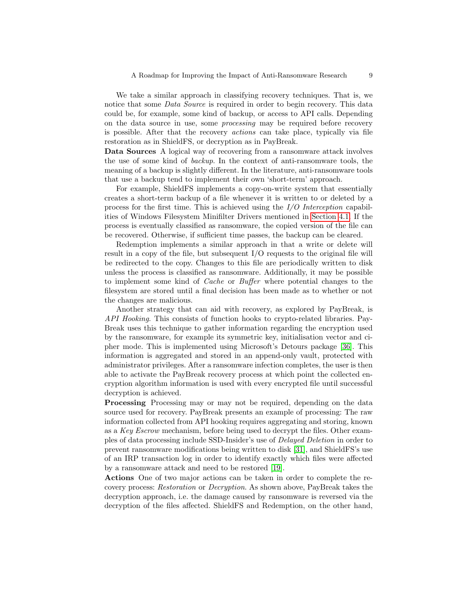We take a similar approach in classifying recovery techniques. That is, we notice that some *Data Source* is required in order to begin recovery. This data could be, for example, some kind of backup, or access to API calls. Depending on the data source in use, some processing may be required before recovery is possible. After that the recovery actions can take place, typically via file restoration as in ShieldFS, or decryption as in PayBreak.

Data Sources A logical way of recovering from a ransomware attack involves the use of some kind of backup. In the context of anti-ransomware tools, the meaning of a backup is slightly different. In the literature, anti-ransomware tools that use a backup tend to implement their own 'short-term' approach.

For example, ShieldFS implements a copy-on-write system that essentially creates a short-term backup of a file whenever it is written to or deleted by a process for the first time. This is achieved using the  $I/O$  Interception capabilities of Windows Filesystem Minifilter Drivers mentioned in Section 4.1. If the process is eventually classified as ransomware, the copied version of the file can be recovered. Otherwise, if sufficient time passes, the backup can be cleared.

Redemption implements a similar approach in that a write or delete will result in a copy of the file, but subsequent I/O requests to the original file will be redirected to the copy. Changes to this file are periodically written to disk unless the process is classified as ransomware. Additionally, it may be possible to implement some kind of Cache or Buffer where potential changes to the filesystem are stored until a final decision has been made as to whether or not the changes are malicious.

Another strategy that can aid with recovery, as explored by PayBreak, is API Hooking. This consists of function hooks to crypto-related libraries. Pay-Break uses this technique to gather information regarding the encryption used by the ransomware, for example its symmetric key, initialisation vector and cipher mode. This is implemented using Microsoft's Detours package [36]. This information is aggregated and stored in an append-only vault, protected with administrator privileges. After a ransomware infection completes, the user is then able to activate the PayBreak recovery process at which point the collected encryption algorithm information is used with every encrypted file until successful decryption is achieved.

Processing Processing may or may not be required, depending on the data source used for recovery. PayBreak presents an example of processing: The raw information collected from API hooking requires aggregating and storing, known as a Key Escrow mechanism, before being used to decrypt the files. Other examples of data processing include SSD-Insider's use of Delayed Deletion in order to prevent ransomware modifications being written to disk [31], and ShieldFS's use of an IRP transaction log in order to identify exactly which files were affected by a ransomware attack and need to be restored [19].

Actions One of two major actions can be taken in order to complete the recovery process: Restoration or Decryption. As shown above, PayBreak takes the decryption approach, i.e. the damage caused by ransomware is reversed via the decryption of the files affected. ShieldFS and Redemption, on the other hand,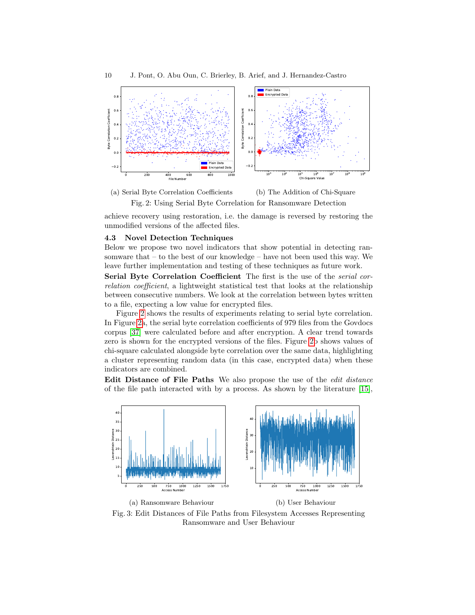



achieve recovery using restoration, i.e. the damage is reversed by restoring the unmodified versions of the affected files.

#### 4.3 Novel Detection Techniques

Below we propose two novel indicators that show potential in detecting ransomware that – to the best of our knowledge – have not been used this way. We leave further implementation and testing of these techniques as future work.

Serial Byte Correlation Coefficient The first is the use of the *serial cor*relation coefficient, a lightweight statistical test that looks at the relationship between consecutive numbers. We look at the correlation between bytes written to a file, expecting a low value for encrypted files.

Figure 2 shows the results of experiments relating to serial byte correlation. In Figure 2a, the serial byte correlation coefficients of 979 files from the Govdocs corpus [37] were calculated before and after encryption. A clear trend towards zero is shown for the encrypted versions of the files. Figure 2b shows values of chi-square calculated alongside byte correlation over the same data, highlighting a cluster representing random data (in this case, encrypted data) when these indicators are combined.

Edit Distance of File Paths We also propose the use of the edit distance of the file path interacted with by a process. As shown by the literature [15],



Fig. 3: Edit Distances of File Paths from Filesystem Accesses Representing Ransomware and User Behaviour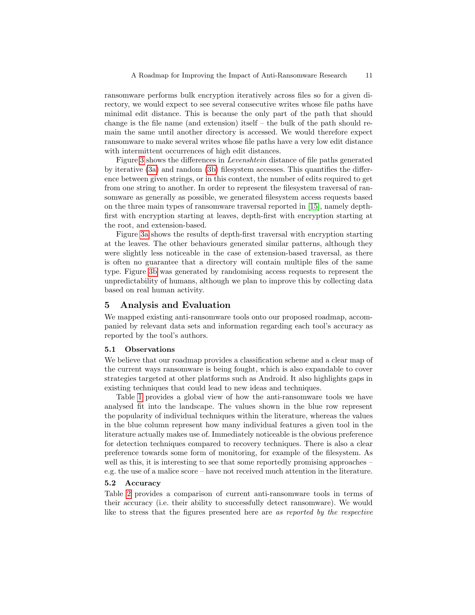ransomware performs bulk encryption iteratively across files so for a given directory, we would expect to see several consecutive writes whose file paths have minimal edit distance. This is because the only part of the path that should change is the file name (and extension) itself – the bulk of the path should remain the same until another directory is accessed. We would therefore expect ransomware to make several writes whose file paths have a very low edit distance with intermittent occurrences of high edit distances.

Figure 3 shows the differences in Levenshtein distance of file paths generated by iterative (3a) and random (3b) filesystem accesses. This quantifies the difference between given strings, or in this context, the number of edits required to get from one string to another. In order to represent the filesystem traversal of ransomware as generally as possible, we generated filesystem access requests based on the three main types of ransomware traversal reported in [15], namely depthfirst with encryption starting at leaves, depth-first with encryption starting at the root, and extension-based.

Figure 3a shows the results of depth-first traversal with encryption starting at the leaves. The other behaviours generated similar patterns, although they were slightly less noticeable in the case of extension-based traversal, as there is often no guarantee that a directory will contain multiple files of the same type. Figure 3b was generated by randomising access requests to represent the unpredictability of humans, although we plan to improve this by collecting data based on real human activity.

#### 5 Analysis and Evaluation

We mapped existing anti-ransomware tools onto our proposed roadmap, accompanied by relevant data sets and information regarding each tool's accuracy as reported by the tool's authors.

#### 5.1 Observations

We believe that our roadmap provides a classification scheme and a clear map of the current ways ransomware is being fought, which is also expandable to cover strategies targeted at other platforms such as Android. It also highlights gaps in existing techniques that could lead to new ideas and techniques.

Table 1 provides a global view of how the anti-ransomware tools we have analysed fit into the landscape. The values shown in the blue row represent the popularity of individual techniques within the literature, whereas the values in the blue column represent how many individual features a given tool in the literature actually makes use of. Immediately noticeable is the obvious preference for detection techniques compared to recovery techniques. There is also a clear preference towards some form of monitoring, for example of the filesystem. As well as this, it is interesting to see that some reportedly promising approaches – e.g. the use of a malice score – have not received much attention in the literature.

#### 5.2 Accuracy

Table 2 provides a comparison of current anti-ransomware tools in terms of their accuracy (i.e. their ability to successfully detect ransomware). We would like to stress that the figures presented here are as reported by the respective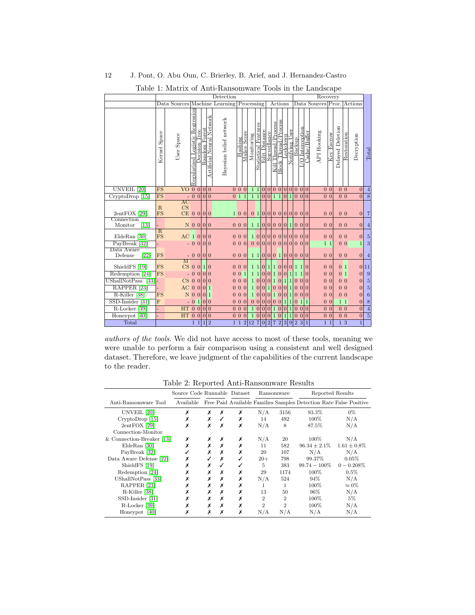#### 12 J. Pont, O. Abu Oun, C. Brierley, B. Arief, and J. Hernandez-Castro

|                                                   | Detection               |                                                     |                                    |                |                |                           |                         |                             |                                  |                                | Recovery                       |                              |                                |                              |                                  |                                    |                                              |                  |                                |                            |                                  |                                  |                                |                                  |                                |                      |
|---------------------------------------------------|-------------------------|-----------------------------------------------------|------------------------------------|----------------|----------------|---------------------------|-------------------------|-----------------------------|----------------------------------|--------------------------------|--------------------------------|------------------------------|--------------------------------|------------------------------|----------------------------------|------------------------------------|----------------------------------------------|------------------|--------------------------------|----------------------------|----------------------------------|----------------------------------|--------------------------------|----------------------------------|--------------------------------|----------------------|
|                                                   |                         | Data Sources Machine Learning Processing<br>Actions |                                    |                |                |                           |                         |                             |                                  |                                | Data Sources Proc. Actions     |                              |                                |                              |                                  |                                    |                                              |                  |                                |                            |                                  |                                  |                                |                                  |                                |                      |
|                                                   | Space<br>Kernel         | User Space                                          | Logistic Regression<br>Regularized | Decision Tree  | Random Forest  | Artificial Neural Network | Bayesian belief network | $_{\rm Hashing}$            | Malice Score                     | Monitoring                     | Statistical Features           | Edit Distance                | Surveillance                   | Kill Thread/Process          | Process<br><b>Block Thread</b>   | Lockdown                           | User<br>Notifying                            | Backup           | Interception<br>₫              | Cache/Buffer               | API Hooking                      | Key Escrow                       | Delayed Deletion               | Restoration                      | Decryption                     | Total                |
| <b>UNVEIL</b> [20]                                | <b>FS</b>               | $\overline{\text{VO}}$                              |                                    | 0 0            |                | 0 0                       | 0                       |                             | 0 0                              | $\,1$                          | $\mathbf{1}$                   | $\vert 0 \vert$              |                                | 0 0                          | 0 0 0                            |                                    |                                              | 0                |                                | 0 0                        | $\overline{0}$                   | $\mathbf{0}$                     |                                | 0 0                              | $\mathbf{0}$                   | $\overline{4}$       |
| CryptoDrop [15]                                   | $\overline{\text{FS}}$  |                                                     |                                    |                |                | 0 0 0 0                   | 0                       | $\overline{1}$              | $\overline{1}$                   | $\overline{1}$                 | $\overline{1}$                 | $\overline{0}$               | 0 1                            |                              | $\mathbf{1}$                     | 0                                  | $\mathbf{1}$                                 | $\overline{0}$   | 0                              | $\Omega$                   |                                  | $\overline{0}$ <sub>0</sub>      |                                | 0 0                              | $\overline{0}$                 | $\overline{8}$       |
| $2entFOX$ [29]<br>Connection<br>$[13]$<br>Monitor | R<br><b>FS</b>          | AC<br>CS<br>CE<br>N                                 |                                    |                |                | 0 0 0 0<br>0 0 0 0        | 1 <sup>1</sup><br> 0    | 0                           | 0 <br>0 0                        | $\mathbf{1}$                   | 0 1 <br>$\vert 1 \vert$        |                              |                                | 0 0 0 0 0 0 <br>0 0 0 0 0    |                                  |                                    | $\mathbf{1}$                                 | $\vert 0 \vert$  |                                | 0 0 0<br>0 0               | $\mathbf{0}$<br>$\mathbf{0}$     | $\overline{0}$<br>$\overline{0}$ | 0 <br> 0                       | $\overline{0}$<br>$\overline{0}$ | $\overline{0}$<br>$\mathbf{0}$ | -7<br>$\overline{4}$ |
| EldeRan [30]                                      | $_{\rm R}$<br><b>FS</b> | AC                                                  |                                    | 0              |                | 0 0                       | 0                       | 0                           | $\overline{0}$                   | $\left  \right $               |                                | 0 0                          |                                | 0 0 0                        |                                  | $\vert 0 \vert$                    | 0                                            | $\vert 0 \vert$  | 0                              | $\Omega$                   | $\mathbf{0}$                     | $\mathbf{0}$                     | $\vert 0 \vert$                | $\overline{0}$                   | $\overline{0}$                 | $\overline{5}$       |
| PayBreak [32]                                     |                         |                                                     | $\overline{0}$                     | 0              | $\overline{0}$ | $\overline{0}$            | 0                       | $\overline{0}$              | $\overline{0}$                   | 0                              | $\overline{0}$                 | $\overline{0}$               |                                | 0 0                          | $\overline{0}$                   | 0                                  | $\overline{0}$                               | $\Omega$         | $\vert 0 \vert$                | $\Omega$                   | $\overline{1}$                   | $\mathbf{1}$                     | $\overline{0}$                 | $\overline{0}$                   | $\mathbf{1}$                   | $\overline{3}$       |
| Data Aware<br>$[22]$<br>Defense                   | <b>FS</b>               |                                                     |                                    | 0 0            |                | 0 0                       | 0                       | 0                           | $\theta$                         | $\mathbf{1}$                   | $1\,$                          | $\overline{0}$               |                                | 0 0                          | $\mathbf{1}$                     |                                    | 0 0                                          | $\vert 0 \vert$  | 0                              | $\theta$                   | $\overline{0}$                   | $\overline{0}$                   |                                | 0 0                              | $\overline{0}$                 | $\overline{4}$       |
| ShieldFS [19]<br>Redemption [24]                  | FS<br><b>FS</b>         | М<br>CS                                             | 0 <br>$\vert 0 \vert$              | 0 <br> 0       |                | 1 0<br>0 0                | 0 <br>$\overline{0}$    | $\vert 0 \vert$<br>$\bf{0}$ | $\overline{0}$<br>$\overline{1}$ | $\mathbf{1}$<br>$\overline{1}$ | $\mathbf{1}$<br>$\overline{1}$ | $\mathbf{0}$<br>$\mathbf{0}$ | $\mathbf{1}$<br>$\overline{0}$ | $\mathbf{1}$<br>$\mathbf{1}$ | $\overline{0}$<br>$\overline{0}$ | $\boldsymbol{0}$<br>$\overline{0}$ | $\overline{0}$<br>$\mathbf{1}$               | $\mathbf{1}$     | 1 <sup>1</sup><br>$\mathbf{1}$ | $\overline{0}$<br>$\Omega$ | $\overline{0}$<br>$\overline{0}$ | $\mathbf{0}$<br>$\overline{0}$   | $\mathbf{0}$<br>$\overline{0}$ | $\mathbf{1}$<br>$\mathbf{1}$     | $\mathbf{0}$<br>$\bf{0}$       | 11<br>9              |
| <b>UShallNotPass</b><br>$[33]$                    |                         | $\overline{\text{CS}}$                              |                                    | $\overline{0}$ | $\overline{0}$ | $\overline{0}$            | $\boldsymbol{0}$        | $\overline{0}$              | $\overline{0}$                   | $\overline{1}$                 | $\overline{0}$                 | $\overline{0}$               | $\overline{0}$                 | $\overline{1}$               | $\overline{0}$                   | $\overline{1}$                     | $\overline{1}$                               | $\theta$         | 0                              | $\overline{0}$             | $\overline{0}$                   | $\overline{0}$                   | $\overline{0}$                 | $\overline{0}$                   | $\mathbf{0}$                   | $\sqrt{5}$           |
| RAPPER <sup>[23]</sup>                            |                         | AC                                                  | 0                                  | 0              | $\overline{0}$ | $\mathbf{1}$              | $\overline{0}$          | $\vert 0 \vert$             | $\overline{0}$                   | $\mathbf{1}$                   | $\overline{0}$                 | $\overline{0}$               | $\overline{1}$                 | $\overline{0}$               | $\overline{0}$                   | $\overline{0}$                     | $\overline{1}$                               | $\overline{0}$   | 0                              | $\theta$                   | $\overline{0}$                   | $\overline{0}$                   | $\boldsymbol{0}$               | $\overline{0}$                   | $\mathbf{0}$                   | $\overline{5}$       |
| R-Killer <sup>[38]</sup>                          | <b>FS</b>               | $\mathbf N$                                         | $\vert 0 \vert$                    | 0              | $\overline{0}$ | $\overline{1}$            | $\overline{0}$          | $\overline{0}$              | $\overline{0}$                   | $\overline{1}$                 | $\overline{0}$                 | $\overline{0}$               | $\overline{0}$                 | $\overline{1}$               | $\overline{0}$                   | $\overline{0}$                     | $\overline{1}$                               | $\overline{0}$   | 0                              | $\overline{0}$             | $\overline{0}$                   | $\overline{0}$                   | $\overline{0}$                 | $\overline{0}$                   | $\mathbf{0}$                   | $\overline{6}$       |
| SSD-Insider [31]                                  | $\mathbf{F}$            |                                                     | $\overline{0}$                     | $\mathbf{1}$   | $\overline{0}$ | $\overline{0}$            | $\overline{0}$          | $\mathbf{0}$                | $\overline{0}$                   | $\overline{0}$                 | $\overline{0}$                 | $\overline{0}$               | $\overline{0}$                 | $\overline{0}$               | $\overline{0}$                   | $\overline{1}$                     | $\overline{1}$                               | $\mathbf{0}$     | $\mathbf{1}$                   | $\mathbf{1}$               | $\overline{0}$                   | $\overline{0}$                   | $\mathbf{1}$                   | $\overline{1}$                   | $\overline{0}$                 | $\overline{8}$       |
| R-Locker [39]                                     |                         | <b>HT</b>                                           | 0                                  | 0              | $\overline{0}$ | $\overline{0}$            | $\overline{0}$          | $\overline{0}$              | $\overline{0}$                   | $\overline{1}$                 | $\overline{0}$                 | $\boldsymbol{0}$             | 0                              | $\overline{1}$               | $\vert 0 \vert$                  | $\boldsymbol{0}$                   | $\mathbf{1}$                                 | $\mathbf{0}$     | 0                              | $\overline{0}$             | $\overline{0}$                   | $\overline{0}$                   | $\overline{0}$                 | $\overline{0}$                   | $\overline{0}$                 | $\overline{4}$       |
| Honeypot [40]                                     |                         | <b>HT</b>                                           | 0                                  | 0              | $\overline{0}$ | $\overline{0}$            | 0                       | $\mathbf{0}$                | $\overline{0}$                   | $\overline{1}$                 | $\boldsymbol{0}$               | $\boldsymbol{0}$             | $\mathbf{0}$                   | $\overline{1}$               | $\overline{0}$                   | $\overline{1}$                     | $\mathbf{1}$                                 | $\boldsymbol{0}$ |                                | 0 0                        | $\boldsymbol{0}$                 | $\overline{0}$                   | $\overline{0}$                 | $\overline{0}$                   | $\mathbf{0}$                   | $\overline{5}$       |
| Total                                             |                         |                                                     | $1\vert$                           | $\mathbf{1}$   | $\mathbf{1}$   | $\overline{2}$            | $\overline{1}$          | $\overline{1}$              | $\overline{2}$                   | $\overline{12}$                | $\overline{7}$                 | $\overline{0}$               | $\overline{2}$                 | $\overline{7}$               |                                  |                                    | $\overline{2}$ $\overline{3}$ $\overline{9}$ | $\overline{2}$   |                                | 3 1                        | $\overline{1}$                   | $\overline{1}$                   | $\mathbf{1}$                   | $\overline{3}$                   | $\mathbf{1}$                   |                      |

Table 1: Matrix of Anti-Ransomware Tools in the Landscape

authors of the tools. We did not have access to most of these tools, meaning we were unable to perform a fair comparison using a consistent and well designed dataset. Therefore, we leave judgment of the capabilities of the current landscape to the reader.

Table 2: Reported Anti-Ransomware Results

|                           | Source Code Runnable Dataset |   |   |   |                | Ransomware     | Reported Results                                                   |                  |  |  |
|---------------------------|------------------------------|---|---|---|----------------|----------------|--------------------------------------------------------------------|------------------|--|--|
| Anti-Ransomware Tool      | Available                    |   |   |   |                |                | Free Paid Available Families Samples Detection Rate False Positive |                  |  |  |
| UNVEIL [20]               | х                            | х | х | х | N/A            | 3156           | 93.3%                                                              | $0\%$            |  |  |
| CryptoDrop [15]           | х                            | х | ✓ | х | 14             | 492            | 100%                                                               | N/A              |  |  |
| $2entFOX$ [29]            | Х                            | х | х | Х | N/A            | 8              | 87.5%                                                              | N/A              |  |  |
| Connection-Monitor        |                              |   |   |   |                |                |                                                                    |                  |  |  |
| & Connection-Breaker [13] | х                            | х | х | Х | N/A            | 20             | 100%                                                               | N/A              |  |  |
| EldeRan [30]              | х                            | х | х | х | 11             | 582            | $96.34 \pm 2.1\%$                                                  | $1.61 \pm 0.8\%$ |  |  |
| PayBreak [32]             |                              |   | х | Х | 20             | 107            | N/A                                                                | N/A              |  |  |
| Data Aware Defense [22]   |                              |   | х |   | $20+$          | 798            | 99.37%                                                             | 0.05%            |  |  |
| ShieldFS [19]             |                              |   | ✓ |   | 5              | 383            | $99.74 - 100\%$                                                    | $0 - 0.208\%$    |  |  |
| Redemption [24]           |                              |   | х |   | 29             | 1174           | 100%                                                               | $0.5\%$          |  |  |
| UShallNotPass [33]        |                              | х | х | х | N/A            | 524            | 94%                                                                | N/A              |  |  |
| RAPPER <sup>[23]</sup>    |                              |   | х | Х |                |                | 100%                                                               | $\approx 0\%$    |  |  |
| R-Killer [38]             |                              |   | х | х | 13             | 50             | 96%                                                                | N/A              |  |  |
| SSD-Insider [31]          |                              |   | х | х | $\overline{2}$ | $\overline{2}$ | 100%                                                               | $5\%$            |  |  |
| R-Locker [39]             |                              | х | х | Х | $\overline{2}$ | $\overline{2}$ | 100%                                                               | N/A              |  |  |
| Honeypot [40]             |                              |   | х | х | N/A            | N/A            | N/A                                                                | N/A              |  |  |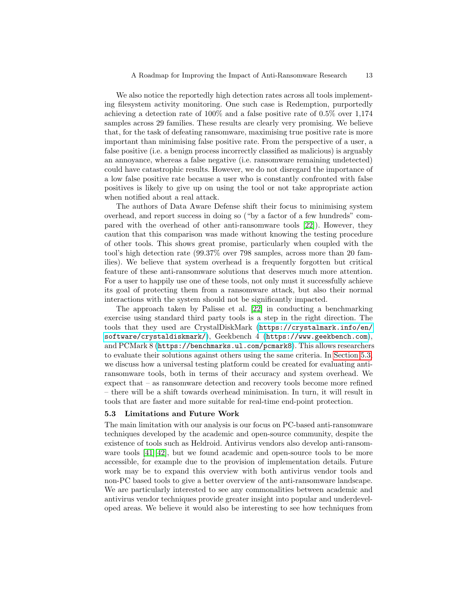We also notice the reportedly high detection rates across all tools implementing filesystem activity monitoring. One such case is Redemption, purportedly achieving a detection rate of 100% and a false positive rate of 0.5% over 1,174 samples across 29 families. These results are clearly very promising. We believe that, for the task of defeating ransomware, maximising true positive rate is more important than minimising false positive rate. From the perspective of a user, a false positive (i.e. a benign process incorrectly classified as malicious) is arguably an annoyance, whereas a false negative (i.e. ransomware remaining undetected) could have catastrophic results. However, we do not disregard the importance of a low false positive rate because a user who is constantly confronted with false positives is likely to give up on using the tool or not take appropriate action when notified about a real attack.

The authors of Data Aware Defense shift their focus to minimising system overhead, and report success in doing so ("by a factor of a few hundreds" compared with the overhead of other anti-ransomware tools [22]). However, they caution that this comparison was made without knowing the testing procedure of other tools. This shows great promise, particularly when coupled with the tool's high detection rate (99.37% over 798 samples, across more than 20 families). We believe that system overhead is a frequently forgotten but critical feature of these anti-ransomware solutions that deserves much more attention. For a user to happily use one of these tools, not only must it successfully achieve its goal of protecting them from a ransomware attack, but also their normal interactions with the system should not be significantly impacted.

The approach taken by Palisse et al. [22] in conducting a benchmarking exercise using standard third party tools is a step in the right direction. The tools that they used are CrystalDiskMark ([https://crystalmark.info/en/](https://crystalmark.info/en/software/crystaldiskmark/) [software/crystaldiskmark/](https://crystalmark.info/en/software/crystaldiskmark/)), Geekbench 4 (<https://www.geekbench.com>), and PCMark 8 (<https://benchmarks.ul.com/pcmark8>). This allows researchers to evaluate their solutions against others using the same criteria. In Section 5.3, we discuss how a universal testing platform could be created for evaluating antiransomware tools, both in terms of their accuracy and system overhead. We expect that – as ransomware detection and recovery tools become more refined – there will be a shift towards overhead minimisation. In turn, it will result in tools that are faster and more suitable for real-time end-point protection.

#### 5.3 Limitations and Future Work

The main limitation with our analysis is our focus on PC-based anti-ransomware techniques developed by the academic and open-source community, despite the existence of tools such as Heldroid. Antivirus vendors also develop anti-ransomware tools  $[41][42]$ , but we found academic and open-source tools to be more accessible, for example due to the provision of implementation details. Future work may be to expand this overview with both antivirus vendor tools and non-PC based tools to give a better overview of the anti-ransomware landscape. We are particularly interested to see any commonalities between academic and antivirus vendor techniques provide greater insight into popular and underdeveloped areas. We believe it would also be interesting to see how techniques from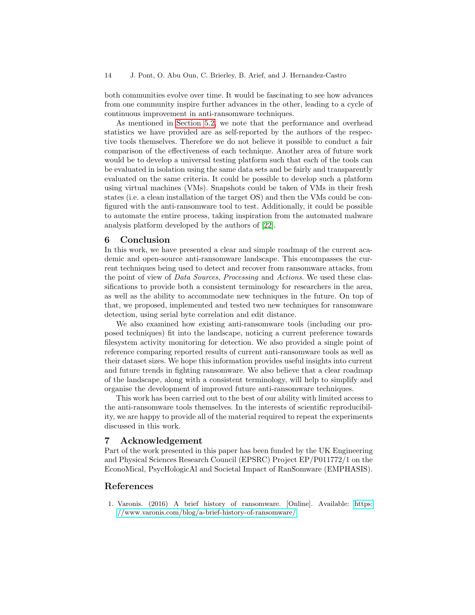both communities evolve over time. It would be fascinating to see how advances from one community inspire further advances in the other, leading to a cycle of continuous improvement in anti-ransomware techniques.

As mentioned in Section 5.2, we note that the performance and overhead statistics we have provided are as self-reported by the authors of the respective tools themselves. Therefore we do not believe it possible to conduct a fair comparison of the effectiveness of each technique. Another area of future work would be to develop a universal testing platform such that each of the tools can be evaluated in isolation using the same data sets and be fairly and transparently evaluated on the same criteria. It could be possible to develop such a platform using virtual machines (VMs). Snapshots could be taken of VMs in their fresh states (i.e. a clean installation of the target OS) and then the VMs could be configured with the anti-ransomware tool to test. Additionally, it could be possible to automate the entire process, taking inspiration from the automated malware analysis platform developed by the authors of [22].

#### 6 Conclusion

In this work, we have presented a clear and simple roadmap of the current academic and open-source anti-ransomware landscape. This encompasses the current techniques being used to detect and recover from ransomware attacks, from the point of view of Data Sources, Processing and Actions. We used these classifications to provide both a consistent terminology for researchers in the area, as well as the ability to accommodate new techniques in the future. On top of that, we proposed, implemented and tested two new techniques for ransomware detection, using serial byte correlation and edit distance.

We also examined how existing anti-ransomware tools (including our proposed techniques) fit into the landscape, noticing a current preference towards filesystem activity monitoring for detection. We also provided a single point of reference comparing reported results of current anti-ransomware tools as well as their dataset sizes. We hope this information provides useful insights into current and future trends in fighting ransomware. We also believe that a clear roadmap of the landscape, along with a consistent terminology, will help to simplify and organise the development of improved future anti-ransomware techniques.

This work has been carried out to the best of our ability with limited access to the anti-ransomware tools themselves. In the interests of scientific reproducibility, we are happy to provide all of the material required to repeat the experiments discussed in this work.

#### 7 Acknowledgement

Part of the work presented in this paper has been funded by the UK Engineering and Physical Sciences Research Council (EPSRC) Project EP/P011772/1 on the EconoMical, PsycHologicAl and Societal Impact of RanSomware (EMPHASIS).

#### References

1. Varonis. (2016) A brief history of ransomware. [Online]. Available: [https:](https://www.varonis.com/blog/a-brief-history-of-ransomware/) [//www.varonis.com/blog/a-brief-history-of-ransomware/](https://www.varonis.com/blog/a-brief-history-of-ransomware/)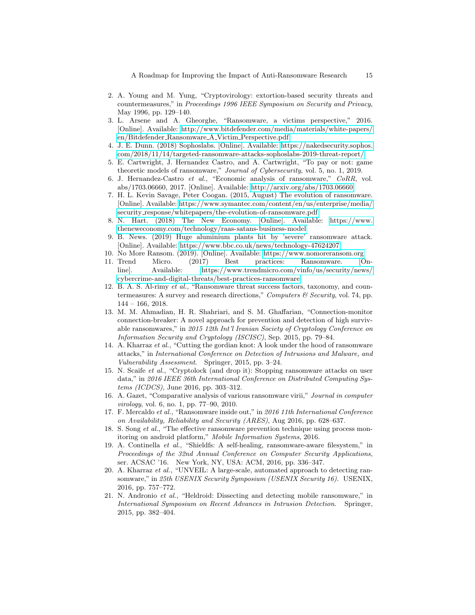A Roadmap for Improving the Impact of Anti-Ransomware Research 15

- 2. A. Young and M. Yung, "Cryptovirology: extortion-based security threats and countermeasures," in Proceedings 1996 IEEE Symposium on Security and Privacy, May 1996, pp. 129–140.
- 3. L. Arsene and A. Gheorghe, "Ransomware, a victims perspective," 2016. [Online]. Available: [http://www.bitdefender.com/media/materials/white-papers/](http://www.bitdefender.com/media/materials/white-papers/en/Bitdefender_Ransomware_A_Victim_Perspective.pdf) en/Bitdefender Ransomware A Victim [Perspective.pdf](http://www.bitdefender.com/media/materials/white-papers/en/Bitdefender_Ransomware_A_Victim_Perspective.pdf)
- 4. J. E. Dunn. (2018) Sophoslabs. [Online]. Available: [https://nakedsecurity.sophos.](https://nakedsecurity.sophos.com/2018/11/14/targeted-ransomware-attacks-sophoslabs-2019-threat-report/) [com/2018/11/14/targeted-ransomware-attacks-sophoslabs-2019-threat-report/](https://nakedsecurity.sophos.com/2018/11/14/targeted-ransomware-attacks-sophoslabs-2019-threat-report/)
- 5. E. Cartwright, J. Hernandez Castro, and A. Cartwright, "To pay or not: game theoretic models of ransomware," Journal of Cybersecurity, vol. 5, no. 1, 2019.
- 6. J. Hernandez-Castro et al., "Economic analysis of ransomware," CoRR, vol. abs/1703.06660, 2017. [Online]. Available:<http://arxiv.org/abs/1703.06660>
- 7. H. L. Kevin Savage, Peter Coogan. (2015, August) The evolution of ransomware. [Online]. Available: [https://www.symantec.com/content/en/us/enterprise/media/](https://www.symantec.com/content/en/us/enterprise/media/security_response/whitepapers/the-evolution-of-ransomware.pdf) security\_[response/whitepapers/the-evolution-of-ransomware.pdf](https://www.symantec.com/content/en/us/enterprise/media/security_response/whitepapers/the-evolution-of-ransomware.pdf)
- 8. N. Hart. (2018) The New Economy. [Online]. Available: [https://www.](https://www.theneweconomy.com/technology/raas-satans-business-model) [theneweconomy.com/technology/raas-satans-business-model](https://www.theneweconomy.com/technology/raas-satans-business-model)
- 9. B. News. (2019) Huge aluminium plants hit by 'severe' ransomware attack. [Online]. Available:<https://www.bbc.co.uk/news/technology-47624207>
- 10. No More Ransom. (2019). [Online]. Available:<https://www.nomoreransom.org>
- 11. Trend Micro. (2017) Best practices: Ransomware. [Online]. Available: [https://www.trendmicro.com/vinfo/us/security/news/](https://www.trendmicro.com/vinfo/us/security/news/cybercrime-and-digital-threats/best-practices-ransomware) [cybercrime-and-digital-threats/best-practices-ransomware](https://www.trendmicro.com/vinfo/us/security/news/cybercrime-and-digital-threats/best-practices-ransomware)
- 12. B. A. S. Al-rimy et al., "Ransomware threat success factors, taxonomy, and countermeasures: A survey and research directions," Computers  $\mathcal C$  Security, vol. 74, pp. 144 – 166, 2018.
- 13. M. M. Ahmadian, H. R. Shahriari, and S. M. Ghaffarian, "Connection-monitor connection-breaker: A novel approach for prevention and detection of high survivable ransomwares," in 2015 12th Int'l Iranian Society of Cryptology Conference on Information Security and Cryptology (ISCISC), Sep. 2015, pp. 79–84.
- 14. A. Kharraz et al., "Cutting the gordian knot: A look under the hood of ransomware attacks," in International Conference on Detection of Intrusions and Malware, and Vulnerability Assessment. Springer, 2015, pp. 3–24.
- 15. N. Scaife et al., "Cryptolock (and drop it): Stopping ransomware attacks on user data," in 2016 IEEE 36th International Conference on Distributed Computing Systems (ICDCS), June 2016, pp. 303–312.
- 16. A. Gazet, "Comparative analysis of various ransomware virii," Journal in computer virology, vol. 6, no. 1, pp. 77–90, 2010.
- 17. F. Mercaldo et al., "Ransomware inside out," in 2016 11th International Conference on Availability, Reliability and Security (ARES), Aug 2016, pp. 628–637.
- 18. S. Song et al., "The effective ransomware prevention technique using process monitoring on android platform," Mobile Information Systems, 2016.
- 19. A. Continella et al., "Shieldfs: A self-healing, ransomware-aware filesystem," in Proceedings of the 32nd Annual Conference on Computer Security Applications, ser. ACSAC '16. New York, NY, USA: ACM, 2016, pp. 336–347.
- 20. A. Kharraz et al., "UNVEIL: A large-scale, automated approach to detecting ransomware," in 25th USENIX Security Symposium (USENIX Security 16). USENIX, 2016, pp. 757–772.
- 21. N. Andronio et al., "Heldroid: Dissecting and detecting mobile ransomware," in International Symposium on Recent Advances in Intrusion Detection. Springer, 2015, pp. 382–404.